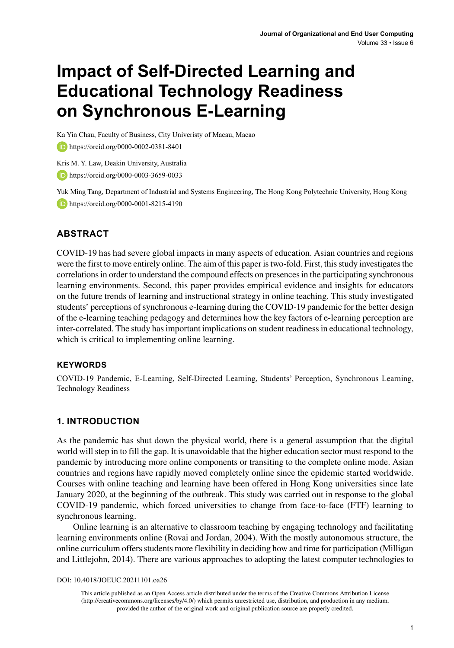# **Impact of Self-Directed Learning and Educational Technology Readiness on Synchronous E-Learning**

Ka Yin Chau, Faculty of Business, City Univeristy of Macau, Macao

<https://orcid.org/0000-0002-0381-8401>

Kris M. Y. Law, Deakin University, Australia

**https://orcid.org/0000-0003-3659-0033** 

Yuk Ming Tang, Department of Industrial and Systems Engineering, The Hong Kong Polytechnic University, Hong Kong **b**<https://orcid.org/0000-0001-8215-4190>

# **ABSTRACT**

COVID-19 has had severe global impacts in many aspects of education. Asian countries and regions were the first to move entirely online. The aim of this paper is two-fold. First, this study investigates the correlations in order to understand the compound effects on presences in the participating synchronous learning environments. Second, this paper provides empirical evidence and insights for educators on the future trends of learning and instructional strategy in online teaching. This study investigated students' perceptions of synchronous e-learning during the COVID-19 pandemic for the better design of the e-learning teaching pedagogy and determines how the key factors of e-learning perception are inter-correlated. The study has important implications on student readiness in educational technology, which is critical to implementing online learning.

### **Keywords**

COVID-19 Pandemic, E-Learning, Self-Directed Learning, Students' Perception, Synchronous Learning, Technology Readiness

### **1. INTRODUCTION**

As the pandemic has shut down the physical world, there is a general assumption that the digital world will step in to fill the gap. It is unavoidable that the higher education sector must respond to the pandemic by introducing more online components or transiting to the complete online mode. Asian countries and regions have rapidly moved completely online since the epidemic started worldwide. Courses with online teaching and learning have been offered in Hong Kong universities since late January 2020, at the beginning of the outbreak. This study was carried out in response to the global COVID-19 pandemic, which forced universities to change from face-to-face (FTF) learning to synchronous learning.

Online learning is an alternative to classroom teaching by engaging technology and facilitating learning environments online (Rovai and Jordan, 2004). With the mostly autonomous structure, the online curriculum offers students more flexibility in deciding how and time for participation (Milligan and Littlejohn, 2014). There are various approaches to adopting the latest computer technologies to

DOI: 10.4018/JOEUC.20211101.oa26

This article published as an Open Access article distributed under the terms of the Creative Commons Attribution License (http://creativecommons.org/licenses/by/4.0/) which permits unrestricted use, distribution, and production in any medium, provided the author of the original work and original publication source are properly credited.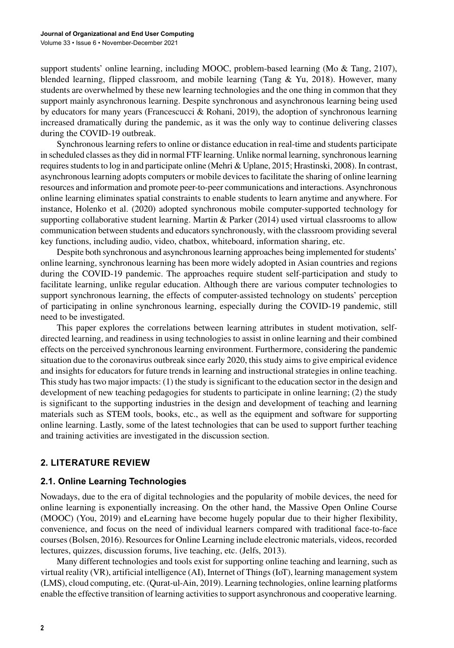support students' online learning, including MOOC, problem-based learning (Mo & Tang, 2107), blended learning, flipped classroom, and mobile learning (Tang  $&\text{Yu}, 2018$ ). However, many students are overwhelmed by these new learning technologies and the one thing in common that they support mainly asynchronous learning. Despite synchronous and asynchronous learning being used by educators for many years (Francescucci & Rohani, 2019), the adoption of synchronous learning increased dramatically during the pandemic, as it was the only way to continue delivering classes during the COVID-19 outbreak.

Synchronous learning refers to online or distance education in real-time and students participate in scheduled classes as they did in normal FTF learning. Unlike normal learning, synchronous learning requires students to log in and participate online (Mehri & Uplane, 2015; Hrastinski, 2008). In contrast, asynchronous learning adopts computers or mobile devices to facilitate the sharing of online learning resources and information and promote peer-to-peer communications and interactions. Asynchronous online learning eliminates spatial constraints to enable students to learn anytime and anywhere. For instance, Holenko et al. (2020) adopted synchronous mobile computer-supported technology for supporting collaborative student learning. Martin & Parker (2014) used virtual classrooms to allow communication between students and educators synchronously, with the classroom providing several key functions, including audio, video, chatbox, whiteboard, information sharing, etc.

Despite both synchronous and asynchronous learning approaches being implemented for students' online learning, synchronous learning has been more widely adopted in Asian countries and regions during the COVID-19 pandemic. The approaches require student self-participation and study to facilitate learning, unlike regular education. Although there are various computer technologies to support synchronous learning, the effects of computer-assisted technology on students' perception of participating in online synchronous learning, especially during the COVID-19 pandemic, still need to be investigated.

This paper explores the correlations between learning attributes in student motivation, selfdirected learning, and readiness in using technologies to assist in online learning and their combined effects on the perceived synchronous learning environment. Furthermore, considering the pandemic situation due to the coronavirus outbreak since early 2020, this study aims to give empirical evidence and insights for educators for future trends in learning and instructional strategies in online teaching. This study has two major impacts: (1) the study is significant to the education sector in the design and development of new teaching pedagogies for students to participate in online learning; (2) the study is significant to the supporting industries in the design and development of teaching and learning materials such as STEM tools, books, etc., as well as the equipment and software for supporting online learning. Lastly, some of the latest technologies that can be used to support further teaching and training activities are investigated in the discussion section.

### **2. LITERATURE REVIEW**

#### **2.1. Online Learning Technologies**

Nowadays, due to the era of digital technologies and the popularity of mobile devices, the need for online learning is exponentially increasing. On the other hand, the Massive Open Online Course (MOOC) (You, 2019) and eLearning have become hugely popular due to their higher flexibility, convenience, and focus on the need of individual learners compared with traditional face-to-face courses (Bolsen, 2016). Resources for Online Learning include electronic materials, videos, recorded lectures, quizzes, discussion forums, live teaching, etc. (Jelfs, 2013).

Many different technologies and tools exist for supporting online teaching and learning, such as virtual reality (VR), artificial intelligence (AI), Internet of Things (IoT), learning management system (LMS), cloud computing, etc. (Qurat-ul-Ain, 2019). Learning technologies, online learning platforms enable the effective transition of learning activities to support asynchronous and cooperative learning.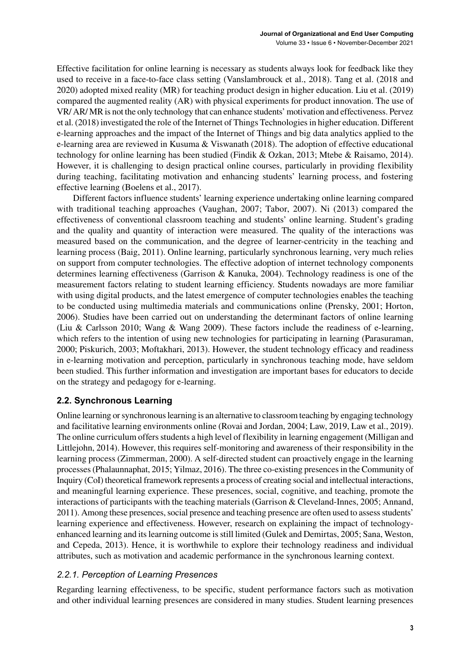Effective facilitation for online learning is necessary as students always look for feedback like they used to receive in a face-to-face class setting (Vanslambrouck et al., 2018). Tang et al. (2018 and 2020) adopted mixed reality (MR) for teaching product design in higher education. Liu et al. (2019) compared the augmented reality (AR) with physical experiments for product innovation. The use of VR/ AR/ MR is not the only technology that can enhance students' motivation and effectiveness. Pervez et al. (2018) investigated the role of the Internet of Things Technologies in higher education. Different e-learning approaches and the impact of the Internet of Things and big data analytics applied to the e-learning area are reviewed in Kusuma & Viswanath (2018). The adoption of effective educational technology for online learning has been studied (Findik & Ozkan, 2013; Mtebe & Raisamo, 2014). However, it is challenging to design practical online courses, particularly in providing flexibility during teaching, facilitating motivation and enhancing students' learning process, and fostering effective learning (Boelens et al., 2017).

Different factors influence students' learning experience undertaking online learning compared with traditional teaching approaches (Vaughan, 2007; Tabor, 2007). Ni (2013) compared the effectiveness of conventional classroom teaching and students' online learning. Student's grading and the quality and quantity of interaction were measured. The quality of the interactions was measured based on the communication, and the degree of learner-centricity in the teaching and learning process (Baig, 2011). Online learning, particularly synchronous learning, very much relies on support from computer technologies. The effective adoption of internet technology components determines learning effectiveness (Garrison & Kanuka, 2004). Technology readiness is one of the measurement factors relating to student learning efficiency. Students nowadays are more familiar with using digital products, and the latest emergence of computer technologies enables the teaching to be conducted using multimedia materials and communications online (Prensky, 2001; Horton, 2006). Studies have been carried out on understanding the determinant factors of online learning (Liu & Carlsson 2010; Wang & Wang 2009). These factors include the readiness of e-learning, which refers to the intention of using new technologies for participating in learning (Parasuraman, 2000; Piskurich, 2003; Moftakhari, 2013). However, the student technology efficacy and readiness in e-learning motivation and perception, particularly in synchronous teaching mode, have seldom been studied. This further information and investigation are important bases for educators to decide on the strategy and pedagogy for e-learning.

# **2.2. Synchronous Learning**

Online learning or synchronous learning is an alternative to classroom teaching by engaging technology and facilitative learning environments online (Rovai and Jordan, 2004; Law, 2019, Law et al., 2019). The online curriculum offers students a high level of flexibility in learning engagement (Milligan and Littlejohn, 2014). However, this requires self-monitoring and awareness of their responsibility in the learning process (Zimmerman, 2000). A self-directed student can proactively engage in the learning processes (Phalaunnaphat, 2015; Yilmaz, 2016). The three co-existing presences in the Community of Inquiry (CoI) theoretical framework represents a process of creating social and intellectual interactions, and meaningful learning experience. These presences, social, cognitive, and teaching, promote the interactions of participants with the teaching materials (Garrison & Cleveland-Innes, 2005; Annand, 2011). Among these presences, social presence and teaching presence are often used to assess students' learning experience and effectiveness. However, research on explaining the impact of technologyenhanced learning and its learning outcome is still limited (Gulek and Demirtas, 2005; Sana, Weston, and Cepeda, 2013). Hence, it is worthwhile to explore their technology readiness and individual attributes, such as motivation and academic performance in the synchronous learning context.

# *2.2.1. Perception of Learning Presences*

Regarding learning effectiveness, to be specific, student performance factors such as motivation and other individual learning presences are considered in many studies. Student learning presences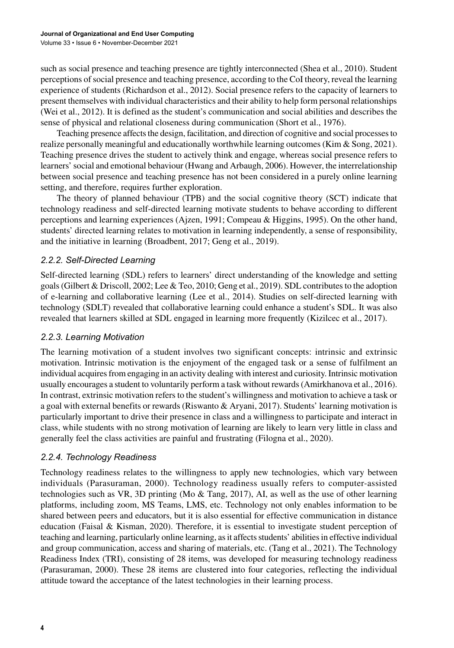such as social presence and teaching presence are tightly interconnected (Shea et al., 2010). Student perceptions of social presence and teaching presence, according to the CoI theory, reveal the learning experience of students (Richardson et al., 2012). Social presence refers to the capacity of learners to present themselves with individual characteristics and their ability to help form personal relationships (Wei et al., 2012). It is defined as the student's communication and social abilities and describes the sense of physical and relational closeness during communication (Short et al., 1976).

Teaching presence affects the design, facilitation, and direction of cognitive and social processes to realize personally meaningful and educationally worthwhile learning outcomes (Kim & Song, 2021). Teaching presence drives the student to actively think and engage, whereas social presence refers to learners' social and emotional behaviour (Hwang and Arbaugh, 2006). However, the interrelationship between social presence and teaching presence has not been considered in a purely online learning setting, and therefore, requires further exploration.

The theory of planned behaviour (TPB) and the social cognitive theory (SCT) indicate that technology readiness and self-directed learning motivate students to behave according to different perceptions and learning experiences (Ajzen, 1991; Compeau & Higgins, 1995). On the other hand, students' directed learning relates to motivation in learning independently, a sense of responsibility, and the initiative in learning (Broadbent, 2017; Geng et al., 2019).

### *2.2.2. Self-Directed Learning*

Self-directed learning (SDL) refers to learners' direct understanding of the knowledge and setting goals (Gilbert & Driscoll, 2002; Lee & Teo, 2010; Geng et al., 2019). SDL contributes to the adoption of e-learning and collaborative learning (Lee et al., 2014). Studies on self-directed learning with technology (SDLT) revealed that collaborative learning could enhance a student's SDL. It was also revealed that learners skilled at SDL engaged in learning more frequently (Kizilcec et al., 2017).

### *2.2.3. Learning Motivation*

The learning motivation of a student involves two significant concepts: intrinsic and extrinsic motivation. Intrinsic motivation is the enjoyment of the engaged task or a sense of fulfilment an individual acquires from engaging in an activity dealing with interest and curiosity. Intrinsic motivation usually encourages a student to voluntarily perform a task without rewards (Amirkhanova et al., 2016). In contrast, extrinsic motivation refers to the student's willingness and motivation to achieve a task or a goal with external benefits or rewards (Riswanto & Aryani, 2017). Students' learning motivation is particularly important to drive their presence in class and a willingness to participate and interact in class, while students with no strong motivation of learning are likely to learn very little in class and generally feel the class activities are painful and frustrating (Filogna et al., 2020).

# *2.2.4. Technology Readiness*

Technology readiness relates to the willingness to apply new technologies, which vary between individuals (Parasuraman, 2000). Technology readiness usually refers to computer-assisted technologies such as VR, 3D printing (Mo & Tang, 2017), AI, as well as the use of other learning platforms, including zoom, MS Teams, LMS, etc. Technology not only enables information to be shared between peers and educators, but it is also essential for effective communication in distance education (Faisal & Kisman, 2020). Therefore, it is essential to investigate student perception of teaching and learning, particularly online learning, as it affects students' abilities in effective individual and group communication, access and sharing of materials, etc. (Tang et al., 2021). The Technology Readiness Index (TRI), consisting of 28 items, was developed for measuring technology readiness (Parasuraman, 2000). These 28 items are clustered into four categories, reflecting the individual attitude toward the acceptance of the latest technologies in their learning process.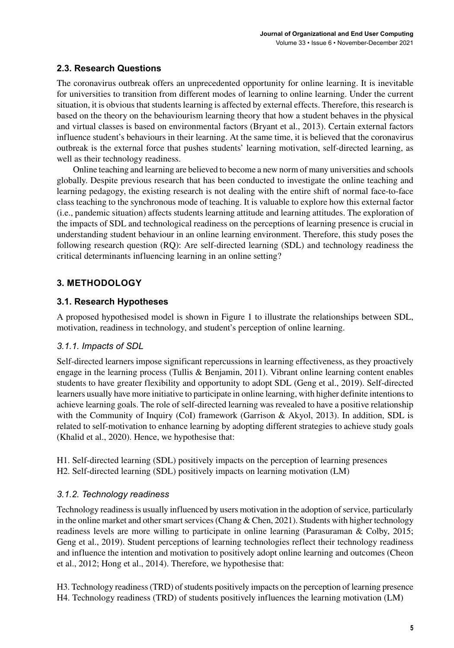# **2.3. Research Questions**

The coronavirus outbreak offers an unprecedented opportunity for online learning. It is inevitable for universities to transition from different modes of learning to online learning. Under the current situation, it is obvious that students learning is affected by external effects. Therefore, this research is based on the theory on the behaviourism learning theory that how a student behaves in the physical and virtual classes is based on environmental factors (Bryant et al., 2013). Certain external factors influence student's behaviours in their learning. At the same time, it is believed that the coronavirus outbreak is the external force that pushes students' learning motivation, self-directed learning, as well as their technology readiness.

Online teaching and learning are believed to become a new norm of many universities and schools globally. Despite previous research that has been conducted to investigate the online teaching and learning pedagogy, the existing research is not dealing with the entire shift of normal face-to-face class teaching to the synchronous mode of teaching. It is valuable to explore how this external factor (i.e., pandemic situation) affects students learning attitude and learning attitudes. The exploration of the impacts of SDL and technological readiness on the perceptions of learning presence is crucial in understanding student behaviour in an online learning environment. Therefore, this study poses the following research question (RQ): Are self-directed learning (SDL) and technology readiness the critical determinants influencing learning in an online setting?

# **3. METHODOLOGY**

### **3.1. Research Hypotheses**

A proposed hypothesised model is shown in Figure 1 to illustrate the relationships between SDL, motivation, readiness in technology, and student's perception of online learning.

### *3.1.1. Impacts of SDL*

Self-directed learners impose significant repercussions in learning effectiveness, as they proactively engage in the learning process (Tullis & Benjamin, 2011). Vibrant online learning content enables students to have greater flexibility and opportunity to adopt SDL (Geng et al., 2019). Self-directed learners usually have more initiative to participate in online learning, with higher definite intentions to achieve learning goals. The role of self-directed learning was revealed to have a positive relationship with the Community of Inquiry (CoI) framework (Garrison & Akyol, 2013). In addition, SDL is related to self-motivation to enhance learning by adopting different strategies to achieve study goals (Khalid et al., 2020). Hence, we hypothesise that:

H1. Self-directed learning (SDL) positively impacts on the perception of learning presences H2. Self-directed learning (SDL) positively impacts on learning motivation (LM)

### *3.1.2. Technology readiness*

Technology readiness is usually influenced by users motivation in the adoption of service, particularly in the online market and other smart services (Chang & Chen, 2021). Students with higher technology readiness levels are more willing to participate in online learning (Parasuraman & Colby, 2015; Geng et al., 2019). Student perceptions of learning technologies reflect their technology readiness and influence the intention and motivation to positively adopt online learning and outcomes (Cheon et al., 2012; Hong et al., 2014). Therefore, we hypothesise that:

H3. Technology readiness (TRD) of students positively impacts on the perception of learning presence H4. Technology readiness (TRD) of students positively influences the learning motivation (LM)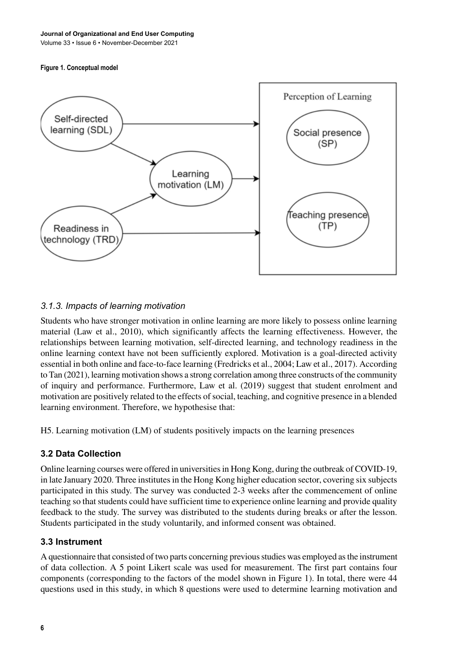#### **Figure 1. Conceptual model**



### *3.1.3. Impacts of learning motivation*

Students who have stronger motivation in online learning are more likely to possess online learning material (Law et al., 2010), which significantly affects the learning effectiveness. However, the relationships between learning motivation, self-directed learning, and technology readiness in the online learning context have not been sufficiently explored. Motivation is a goal-directed activity essential in both online and face-to-face learning (Fredricks et al., 2004; Law et al., 2017). According to Tan (2021), learning motivation shows a strong correlation among three constructs of the community of inquiry and performance. Furthermore, Law et al. (2019) suggest that student enrolment and motivation are positively related to the effects of social, teaching, and cognitive presence in a blended learning environment. Therefore, we hypothesise that:

H5. Learning motivation (LM) of students positively impacts on the learning presences

### **3.2 Data Collection**

Online learning courses were offered in universities in Hong Kong, during the outbreak of COVID-19, in late January 2020. Three institutes in the Hong Kong higher education sector, covering six subjects participated in this study. The survey was conducted 2-3 weeks after the commencement of online teaching so that students could have sufficient time to experience online learning and provide quality feedback to the study. The survey was distributed to the students during breaks or after the lesson. Students participated in the study voluntarily, and informed consent was obtained.

### **3.3 Instrument**

A questionnaire that consisted of two parts concerning previous studies was employed as the instrument of data collection. A 5 point Likert scale was used for measurement. The first part contains four components (corresponding to the factors of the model shown in Figure 1). In total, there were 44 questions used in this study, in which 8 questions were used to determine learning motivation and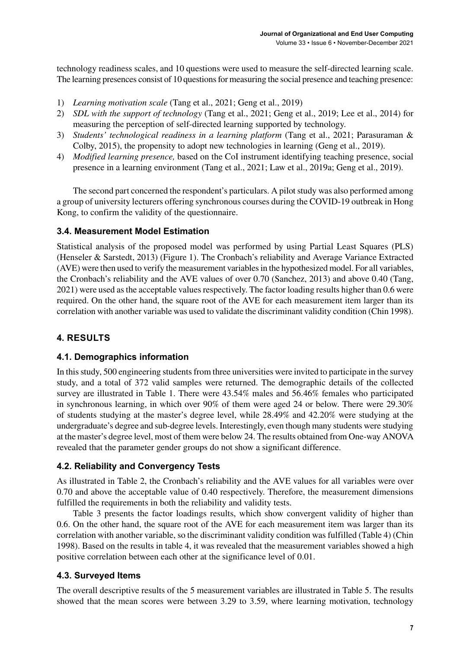technology readiness scales, and 10 questions were used to measure the self-directed learning scale. The learning presences consist of 10 questions for measuring the social presence and teaching presence:

- 1) *Learning motivation scale* (Tang et al., 2021; Geng et al., 2019)
- 2) *SDL with the support of technology* (Tang et al., 2021; Geng et al., 2019; Lee et al., 2014) for measuring the perception of self-directed learning supported by technology.
- 3) *Students' technological readiness in a learning platform* (Tang et al., 2021; Parasuraman & Colby, 2015), the propensity to adopt new technologies in learning (Geng et al., 2019).
- 4) *Modified learning presence,* based on the CoI instrument identifying teaching presence, social presence in a learning environment (Tang et al., 2021; Law et al., 2019a; Geng et al., 2019).

The second part concerned the respondent's particulars. A pilot study was also performed among a group of university lecturers offering synchronous courses during the COVID-19 outbreak in Hong Kong, to confirm the validity of the questionnaire.

# **3.4. Measurement Model Estimation**

Statistical analysis of the proposed model was performed by using Partial Least Squares (PLS) (Henseler & Sarstedt, 2013) (Figure 1). The Cronbach's reliability and Average Variance Extracted (AVE) were then used to verify the measurement variables in the hypothesized model. For all variables, the Cronbach's reliability and the AVE values of over 0.70 (Sanchez, 2013) and above 0.40 (Tang, 2021) were used as the acceptable values respectively. The factor loading results higher than 0.6 were required. On the other hand, the square root of the AVE for each measurement item larger than its correlation with another variable was used to validate the discriminant validity condition (Chin 1998).

# **4. RESULTS**

# **4.1. Demographics information**

In this study, 500 engineering students from three universities were invited to participate in the survey study, and a total of 372 valid samples were returned. The demographic details of the collected survey are illustrated in Table 1. There were 43.54% males and 56.46% females who participated in synchronous learning, in which over 90% of them were aged 24 or below. There were 29.30% of students studying at the master's degree level, while 28.49% and 42.20% were studying at the undergraduate's degree and sub-degree levels. Interestingly, even though many students were studying at the master's degree level, most of them were below 24. The results obtained from One-way ANOVA revealed that the parameter gender groups do not show a significant difference.

# **4.2. Reliability and Convergency Tests**

As illustrated in Table 2, the Cronbach's reliability and the AVE values for all variables were over 0.70 and above the acceptable value of 0.40 respectively. Therefore, the measurement dimensions fulfilled the requirements in both the reliability and validity tests.

Table 3 presents the factor loadings results, which show convergent validity of higher than 0.6. On the other hand, the square root of the AVE for each measurement item was larger than its correlation with another variable, so the discriminant validity condition was fulfilled (Table 4) (Chin 1998). Based on the results in table 4, it was revealed that the measurement variables showed a high positive correlation between each other at the significance level of 0.01.

# **4.3. Surveyed Items**

The overall descriptive results of the 5 measurement variables are illustrated in Table 5. The results showed that the mean scores were between 3.29 to 3.59, where learning motivation, technology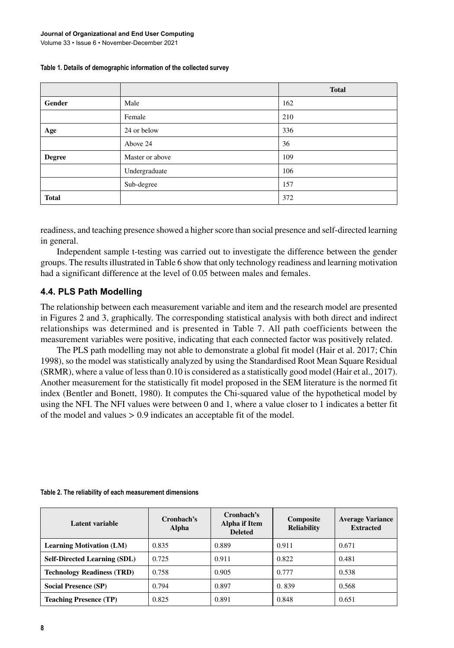|               |                 | <b>Total</b> |
|---------------|-----------------|--------------|
| Gender        | Male            | 162          |
|               | Female          | 210          |
| Age           | 24 or below     | 336          |
|               | Above 24        | 36           |
| <b>Degree</b> | Master or above | 109          |
|               | Undergraduate   | 106          |
|               | Sub-degree      | 157          |
| <b>Total</b>  |                 | 372          |

#### **Table 1. Details of demographic information of the collected survey**

readiness, and teaching presence showed a higher score than social presence and self-directed learning in general.

Independent sample t-testing was carried out to investigate the difference between the gender groups. The results illustrated in Table 6 show that only technology readiness and learning motivation had a significant difference at the level of 0.05 between males and females.

### **4.4. PLS Path Modelling**

The relationship between each measurement variable and item and the research model are presented in Figures 2 and 3, graphically. The corresponding statistical analysis with both direct and indirect relationships was determined and is presented in Table 7. All path coefficients between the measurement variables were positive, indicating that each connected factor was positively related.

The PLS path modelling may not able to demonstrate a global fit model (Hair et al. 2017; Chin 1998), so the model was statistically analyzed by using the Standardised Root Mean Square Residual (SRMR), where a value of less than 0.10 is considered as a statistically good model (Hair et al., 2017). Another measurement for the statistically fit model proposed in the SEM literature is the normed fit index (Bentler and Bonett, 1980). It computes the Chi-squared value of the hypothetical model by using the NFI. The NFI values were between 0 and 1, where a value closer to 1 indicates a better fit of the model and values > 0.9 indicates an acceptable fit of the model.

| Latent variable                     | Cronbach's<br>Alpha | Cronbach's<br>Alpha if Item<br><b>Deleted</b> | Composite<br><b>Reliability</b> | <b>Average Variance</b><br><b>Extracted</b> |
|-------------------------------------|---------------------|-----------------------------------------------|---------------------------------|---------------------------------------------|
| <b>Learning Motivation (LM)</b>     | 0.835               | 0.889                                         | 0.911                           | 0.671                                       |
| <b>Self-Directed Learning (SDL)</b> | 0.725               | 0.911                                         | 0.822                           | 0.481                                       |
| <b>Technology Readiness (TRD)</b>   | 0.758               | 0.905                                         | 0.777                           | 0.538                                       |
| <b>Social Presence (SP)</b>         | 0.794               | 0.897                                         | 0.839                           | 0.568                                       |
| <b>Teaching Presence (TP)</b>       | 0.825               | 0.891                                         | 0.848                           | 0.651                                       |

#### **Table 2. The reliability of each measurement dimensions**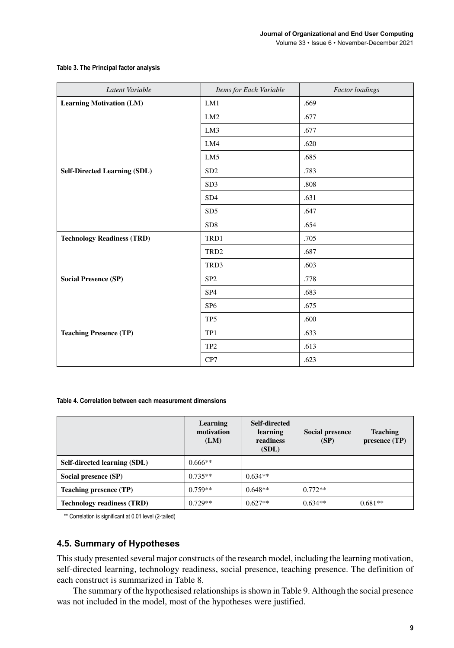#### **Table 3. The Principal factor analysis**

| Latent Variable                     | Items for Each Variable | <b>Factor</b> loadings |
|-------------------------------------|-------------------------|------------------------|
| <b>Learning Motivation (LM)</b>     | LM1                     | .669                   |
|                                     | LM2                     | .677                   |
|                                     | LM3                     | .677                   |
|                                     | LM4                     | .620                   |
|                                     | LM5                     | .685                   |
| <b>Self-Directed Learning (SDL)</b> | SD <sub>2</sub>         | .783                   |
|                                     | SD <sub>3</sub>         | .808                   |
|                                     | SD <sub>4</sub>         | .631                   |
|                                     | SD <sub>5</sub>         | .647                   |
|                                     | SD <sub>8</sub>         | .654                   |
| <b>Technology Readiness (TRD)</b>   | TRD1                    | .705                   |
|                                     | TRD <sub>2</sub>        | .687                   |
|                                     | TRD3                    | .603                   |
| <b>Social Presence (SP)</b>         | SP <sub>2</sub>         | .778                   |
|                                     | SP <sub>4</sub>         | .683                   |
|                                     | SP <sub>6</sub>         | .675                   |
|                                     | TP <sub>5</sub>         | .600                   |
| <b>Teaching Presence (TP)</b>       | TP1                     | .633                   |
|                                     | TP <sub>2</sub>         | .613                   |
|                                     | CP7                     | .623                   |

#### **Table 4. Correlation between each measurement dimensions**

|                                   | Learning<br>motivation<br>(LM) | Self-directed<br>learning<br>readiness<br>(SDL) | <b>Social presence</b><br>(SP) | <b>Teaching</b><br>presence (TP) |
|-----------------------------------|--------------------------------|-------------------------------------------------|--------------------------------|----------------------------------|
| Self-directed learning (SDL)      | $0.666**$                      |                                                 |                                |                                  |
| Social presence (SP)              | $0.735**$                      | $0.634**$                                       |                                |                                  |
| <b>Teaching presence (TP)</b>     | $0.759**$                      | $0.648**$                                       | $0.772**$                      |                                  |
| <b>Technology readiness (TRD)</b> | $0.729**$                      | $0.627**$                                       | $0.634**$                      | $0.681**$                        |

\*\* Correlation is significant at 0.01 level (2-tailed)

### **4.5. Summary of Hypotheses**

This study presented several major constructs of the research model, including the learning motivation, self-directed learning, technology readiness, social presence, teaching presence. The definition of each construct is summarized in Table 8.

The summary of the hypothesised relationships is shown in Table 9. Although the social presence was not included in the model, most of the hypotheses were justified.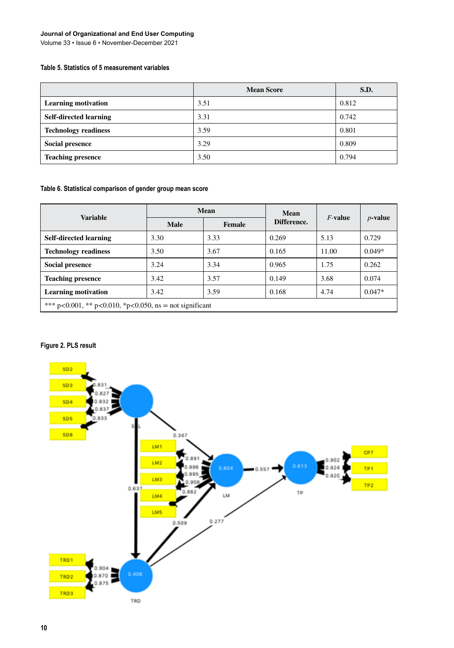#### **Journal of Organizational and End User Computing**

Volume 33 • Issue 6 • November-December 2021

#### **Table 5. Statistics of 5 measurement variables**

|                               | <b>Mean Score</b> | S.D.  |
|-------------------------------|-------------------|-------|
| <b>Learning motivation</b>    | 3.51              | 0.812 |
| <b>Self-directed learning</b> | 3.31              | 0.742 |
| <b>Technology readiness</b>   | 3.59              | 0.801 |
| <b>Social presence</b>        | 3.29              | 0.809 |
| <b>Teaching presence</b>      | 3.50              | 0.794 |

#### **Table 6. Statistical comparison of gender group mean score**

| <b>Variable</b>                                           | Mean |        | Mean        | $F$ -value |            |
|-----------------------------------------------------------|------|--------|-------------|------------|------------|
|                                                           | Male | Female | Difference. |            | $p$ -value |
| <b>Self-directed learning</b>                             | 3.30 | 3.33   | 0.269       | 5.13       | 0.729      |
| <b>Technology readiness</b>                               | 3.50 | 3.67   | 0.165       | 11.00      | $0.049*$   |
| Social presence                                           | 3.24 | 3.34   | 0.965       | 1.75       | 0.262      |
| <b>Teaching presence</b>                                  | 3.42 | 3.57   | 0.149       | 3.68       | 0.074      |
| <b>Learning motivation</b>                                | 3.42 | 3.59   | 0.168       | 4.74       | $0.047*$   |
| *** p<0.001, ** p<0.010, *p<0.050, $ns = not significant$ |      |        |             |            |            |

#### **Figure 2. PLS result**

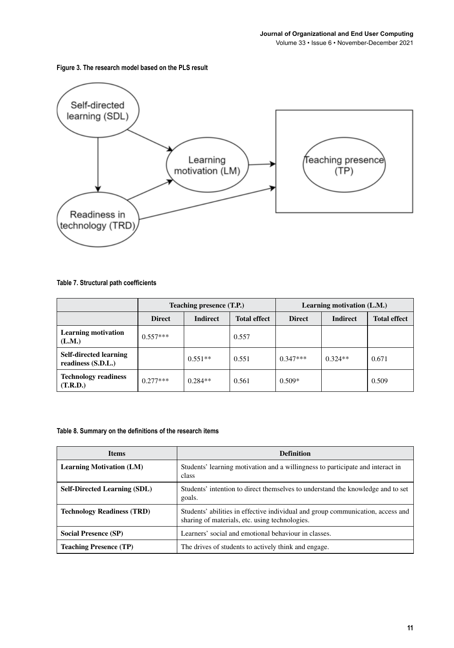**Figure 3. The research model based on the PLS result**



#### **Table 7. Structural path coefficients**

|                                                     | Teaching presence (T.P.) |                 |                     | Learning motivation (L.M.) |                 |                     |
|-----------------------------------------------------|--------------------------|-----------------|---------------------|----------------------------|-----------------|---------------------|
|                                                     | <b>Direct</b>            | <b>Indirect</b> | <b>Total effect</b> | <b>Direct</b>              | <b>Indirect</b> | <b>Total effect</b> |
| <b>Learning motivation</b><br>(L.M.)                | $0.557***$               |                 | 0.557               |                            |                 |                     |
| <b>Self-directed learning</b><br>readiness (S.D.L.) |                          | $0.551**$       | 0.551               | $0.347***$                 | $0.324**$       | 0.671               |
| <b>Technology readiness</b><br>(T.R.D.)             | $0.277***$               | $0.284**$       | 0.561               | $0.509*$                   |                 | 0.509               |

#### **Table 8. Summary on the definitions of the research items**

| <b>Items</b>                        | <b>Definition</b>                                                                                                                 |
|-------------------------------------|-----------------------------------------------------------------------------------------------------------------------------------|
| <b>Learning Motivation (LM)</b>     | Students' learning motivation and a willingness to participate and interact in<br>class                                           |
| <b>Self-Directed Learning (SDL)</b> | Students' intention to direct themselves to understand the knowledge and to set<br>goals.                                         |
| <b>Technology Readiness (TRD)</b>   | Students' abilities in effective individual and group communication, access and<br>sharing of materials, etc. using technologies. |
| <b>Social Presence (SP)</b>         | Learners' social and emotional behaviour in classes.                                                                              |
| <b>Teaching Presence (TP)</b>       | The drives of students to actively think and engage.                                                                              |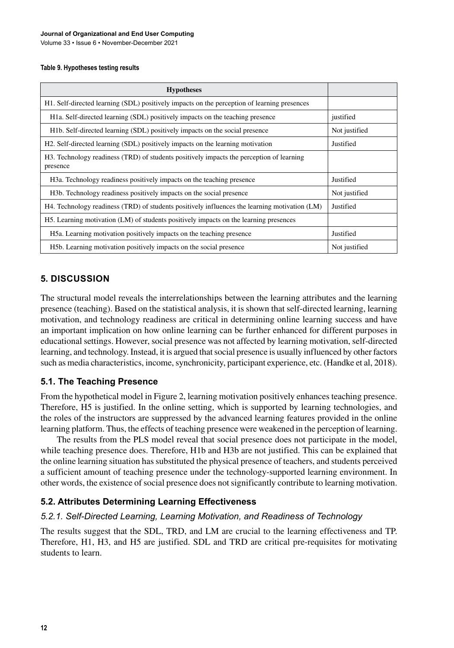#### **Table 9. Hypotheses testing results**

| <b>Hypotheses</b>                                                                                    |               |
|------------------------------------------------------------------------------------------------------|---------------|
| H1. Self-directed learning (SDL) positively impacts on the perception of learning presences          |               |
| H <sub>1</sub> a. Self-directed learning (SDL) positively impacts on the teaching presence           | justified     |
| H <sub>1</sub> b. Self-directed learning (SDL) positively impacts on the social presence             | Not justified |
| H2. Self-directed learning (SDL) positively impacts on the learning motivation                       | Justified     |
| H3. Technology readiness (TRD) of students positively impacts the perception of learning<br>presence |               |
| H <sub>3</sub> a. Technology readiness positively impacts on the teaching presence                   | Justified     |
| H <sub>3</sub> b. Technology readiness positively impacts on the social presence                     | Not justified |
| H4. Technology readiness (TRD) of students positively influences the learning motivation (LM)        | Justified     |
| H5. Learning motivation (LM) of students positively impacts on the learning presences                |               |
| H5a. Learning motivation positively impacts on the teaching presence                                 | Justified     |
| H <sub>5</sub> b. Learning motivation positively impacts on the social presence                      | Not justified |

### **5. DISCUSSION**

The structural model reveals the interrelationships between the learning attributes and the learning presence (teaching). Based on the statistical analysis, it is shown that self-directed learning, learning motivation, and technology readiness are critical in determining online learning success and have an important implication on how online learning can be further enhanced for different purposes in educational settings. However, social presence was not affected by learning motivation, self-directed learning, and technology. Instead, it is argued that social presence is usually influenced by other factors such as media characteristics, income, synchronicity, participant experience, etc. (Handke et al, 2018).

### **5.1. The Teaching Presence**

From the hypothetical model in Figure 2, learning motivation positively enhances teaching presence. Therefore, H5 is justified. In the online setting, which is supported by learning technologies, and the roles of the instructors are suppressed by the advanced learning features provided in the online learning platform. Thus, the effects of teaching presence were weakened in the perception of learning.

The results from the PLS model reveal that social presence does not participate in the model, while teaching presence does. Therefore, H1b and H3b are not justified. This can be explained that the online learning situation has substituted the physical presence of teachers, and students perceived a sufficient amount of teaching presence under the technology-supported learning environment. In other words, the existence of social presence does not significantly contribute to learning motivation.

### **5.2. Attributes Determining Learning Effectiveness**

#### *5.2.1. Self-Directed Learning, Learning Motivation, and Readiness of Technology*

The results suggest that the SDL, TRD, and LM are crucial to the learning effectiveness and TP. Therefore, H1, H3, and H5 are justified. SDL and TRD are critical pre-requisites for motivating students to learn.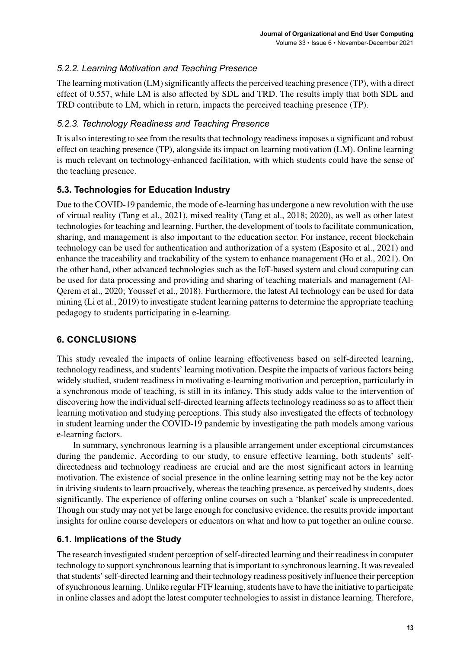### *5.2.2. Learning Motivation and Teaching Presence*

The learning motivation (LM) significantly affects the perceived teaching presence (TP), with a direct effect of 0.557, while LM is also affected by SDL and TRD. The results imply that both SDL and TRD contribute to LM, which in return, impacts the perceived teaching presence (TP).

### *5.2.3. Technology Readiness and Teaching Presence*

It is also interesting to see from the results that technology readiness imposes a significant and robust effect on teaching presence (TP), alongside its impact on learning motivation (LM). Online learning is much relevant on technology-enhanced facilitation, with which students could have the sense of the teaching presence.

### **5.3. Technologies for Education Industry**

Due to the COVID-19 pandemic, the mode of e-learning has undergone a new revolution with the use of virtual reality (Tang et al., 2021), mixed reality (Tang et al., 2018; 2020), as well as other latest technologies for teaching and learning. Further, the development of tools to facilitate communication, sharing, and management is also important to the education sector. For instance, recent blockchain technology can be used for authentication and authorization of a system (Esposito et al., 2021) and enhance the traceability and trackability of the system to enhance management (Ho et al., 2021). On the other hand, other advanced technologies such as the IoT-based system and cloud computing can be used for data processing and providing and sharing of teaching materials and management (Al-Qerem et al., 2020; Youssef et al., 2018). Furthermore, the latest AI technology can be used for data mining (Li et al., 2019) to investigate student learning patterns to determine the appropriate teaching pedagogy to students participating in e-learning.

# **6. CONCLUSIONS**

This study revealed the impacts of online learning effectiveness based on self-directed learning, technology readiness, and students' learning motivation. Despite the impacts of various factors being widely studied, student readiness in motivating e-learning motivation and perception, particularly in a synchronous mode of teaching, is still in its infancy. This study adds value to the intervention of discovering how the individual self-directed learning affects technology readiness so as to affect their learning motivation and studying perceptions. This study also investigated the effects of technology in student learning under the COVID-19 pandemic by investigating the path models among various e-learning factors.

In summary, synchronous learning is a plausible arrangement under exceptional circumstances during the pandemic. According to our study, to ensure effective learning, both students' selfdirectedness and technology readiness are crucial and are the most significant actors in learning motivation. The existence of social presence in the online learning setting may not be the key actor in driving students to learn proactively, whereas the teaching presence, as perceived by students, does significantly. The experience of offering online courses on such a 'blanket' scale is unprecedented. Though our study may not yet be large enough for conclusive evidence, the results provide important insights for online course developers or educators on what and how to put together an online course.

# **6.1. Implications of the Study**

The research investigated student perception of self-directed learning and their readiness in computer technology to support synchronous learning that is important to synchronous learning. It was revealed that students' self-directed learning and their technology readiness positively influence their perception of synchronous learning. Unlike regular FTF learning, students have to have the initiative to participate in online classes and adopt the latest computer technologies to assist in distance learning. Therefore,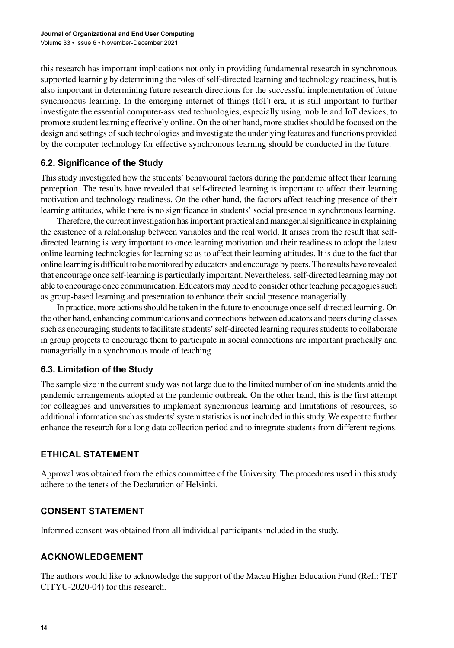this research has important implications not only in providing fundamental research in synchronous supported learning by determining the roles of self-directed learning and technology readiness, but is also important in determining future research directions for the successful implementation of future synchronous learning. In the emerging internet of things (IoT) era, it is still important to further investigate the essential computer-assisted technologies, especially using mobile and IoT devices, to promote student learning effectively online. On the other hand, more studies should be focused on the design and settings of such technologies and investigate the underlying features and functions provided by the computer technology for effective synchronous learning should be conducted in the future.

### **6.2. Significance of the Study**

This study investigated how the students' behavioural factors during the pandemic affect their learning perception. The results have revealed that self-directed learning is important to affect their learning motivation and technology readiness. On the other hand, the factors affect teaching presence of their learning attitudes, while there is no significance in students' social presence in synchronous learning.

Therefore, the current investigation has important practical and managerial significance in explaining the existence of a relationship between variables and the real world. It arises from the result that selfdirected learning is very important to once learning motivation and their readiness to adopt the latest online learning technologies for learning so as to affect their learning attitudes. It is due to the fact that online learning is difficult to be monitored by educators and encourage by peers. The results have revealed that encourage once self-learning is particularly important. Nevertheless, self-directed learning may not able to encourage once communication. Educators may need to consider other teaching pedagogies such as group-based learning and presentation to enhance their social presence managerially.

In practice, more actions should be taken in the future to encourage once self-directed learning. On the other hand, enhancing communications and connections between educators and peers during classes such as encouraging students to facilitate students' self-directed learning requires students to collaborate in group projects to encourage them to participate in social connections are important practically and managerially in a synchronous mode of teaching.

# **6.3. Limitation of the Study**

The sample size in the current study was not large due to the limited number of online students amid the pandemic arrangements adopted at the pandemic outbreak. On the other hand, this is the first attempt for colleagues and universities to implement synchronous learning and limitations of resources, so additional information such as students' system statistics is not included in this study. We expect to further enhance the research for a long data collection period and to integrate students from different regions.

# **ETHICAL STATEMENT**

Approval was obtained from the ethics committee of the University. The procedures used in this study adhere to the tenets of the Declaration of Helsinki.

# **CONSENT STATEMENT**

Informed consent was obtained from all individual participants included in the study.

# **ACKNOWLEDGEMENT**

The authors would like to acknowledge the support of the Macau Higher Education Fund (Ref.: TET CITYU-2020-04) for this research.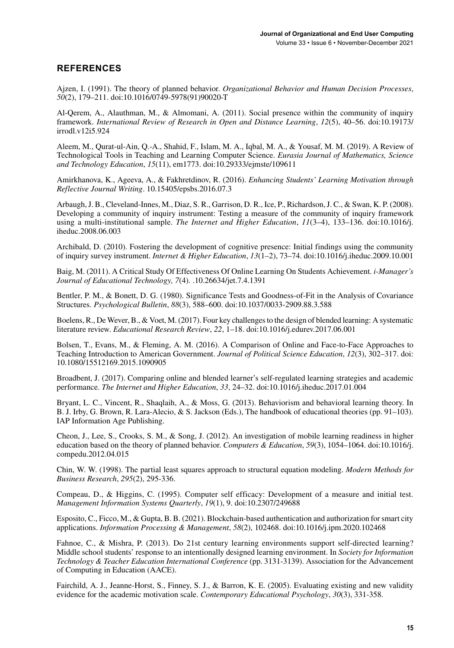### **REFERENCES**

Ajzen, I. (1991). The theory of planned behavior. *Organizational Behavior and Human Decision Processes*, *50*(2), 179–211. doi:[10.1016/0749-5978\(91\)90020-T](http://dx.doi.org/10.1016/0749-5978(91)90020-T)

Al-Qerem, A., Alauthman, M., & Almomani, A. (2011). Social presence within the community of inquiry framework. *International Review of Research in Open and Distance Learning*, *12*(5), 40–56. doi:[10.19173/](http://dx.doi.org/10.19173/irrodl.v12i5.924) [irrodl.v12i5.924](http://dx.doi.org/10.19173/irrodl.v12i5.924)

Aleem, M., Qurat-ul-Ain, Q.-A., Shahid, F., Islam, M. A., Iqbal, M. A., & Yousaf, M. M. (2019). A Review of Technological Tools in Teaching and Learning Computer Science. *Eurasia Journal of Mathematics, Science and Technology Education*, *15*(11), em1773. doi:[10.29333/ejmste/109611](http://dx.doi.org/10.29333/ejmste/109611)

Amirkhanova, K., Ageeva, A., & Fakhretdinov, R. (2016). *Enhancing Students' Learning Motivation through Reflective Journal Writing*. 10.15405/epsbs.2016.07.3

Arbaugh, J. B., Cleveland-Innes, M., Diaz, S. R., Garrison, D. R., Ice, P., Richardson, J. C., & Swan, K. P. (2008). Developing a community of inquiry instrument: Testing a measure of the community of inquiry framework using a multi-institutional sample. *The Internet and Higher Education*, *11*(3–4), 133–136. doi:[10.1016/j.](http://dx.doi.org/10.1016/j.iheduc.2008.06.003) [iheduc.2008.06.003](http://dx.doi.org/10.1016/j.iheduc.2008.06.003)

Archibald, D. (2010). Fostering the development of cognitive presence: Initial findings using the community of inquiry survey instrument. *Internet & Higher Education*, *13*(1–2), 73–74. doi[:10.1016/j.iheduc.2009.10.001](http://dx.doi.org/10.1016/j.iheduc.2009.10.001)

Baig, M. (2011). A Critical Study Of Effectiveness Of Online Learning On Students Achievement. *i-Manager's Journal of Educational Technology, 7*(4). .10.26634/jet.7.4.1391

Bentler, P. M., & Bonett, D. G. (1980). Significance Tests and Goodness-of-Fit in the Analysis of Covariance Structures. *Psychological Bulletin*, *88*(3), 588–600. doi:[10.1037/0033-2909.88.3.588](http://dx.doi.org/10.1037/0033-2909.88.3.588)

Boelens, R., De Wever, B., & Voet, M. (2017). Four key challenges to the design of blended learning: A systematic literature review. *Educational Research Review*, *22*, 1–18. doi:[10.1016/j.edurev.2017.06.001](http://dx.doi.org/10.1016/j.edurev.2017.06.001)

Bolsen, T., Evans, M., & Fleming, A. M. (2016). A Comparison of Online and Face-to-Face Approaches to Teaching Introduction to American Government. *Journal of Political Science Education*, *12*(3), 302–317. doi: [10.1080/15512169.2015.1090905](http://dx.doi.org/10.1080/15512169.2015.1090905)

Broadbent, J. (2017). Comparing online and blended learner's self-regulated learning strategies and academic performance. *The Internet and Higher Education*, *33*, 24–32. doi:[10.1016/j.iheduc.2017.01.004](http://dx.doi.org/10.1016/j.iheduc.2017.01.004)

Bryant, L. C., Vincent, R., Shaqlaih, A., & Moss, G. (2013). Behaviorism and behavioral learning theory. In B. J. Irby, G. Brown, R. Lara-Alecio, & S. Jackson (Eds.), The handbook of educational theories (pp. 91–103). IAP Information Age Publishing.

Cheon, J., Lee, S., Crooks, S. M., & Song, J. (2012). An investigation of mobile learning readiness in higher education based on the theory of planned behavior. *Computers & Education*, *59*(3), 1054–1064. doi[:10.1016/j.](http://dx.doi.org/10.1016/j.compedu.2012.04.015) [compedu.2012.04.015](http://dx.doi.org/10.1016/j.compedu.2012.04.015)

Chin, W. W. (1998). The partial least squares approach to structural equation modeling. *Modern Methods for Business Research*, *295*(2), 295-336.

Compeau, D., & Higgins, C. (1995). Computer self efficacy: Development of a measure and initial test. *Management Information Systems Quarterly*, *19*(1), 9. doi[:10.2307/249688](http://dx.doi.org/10.2307/249688)

Esposito, C., Ficco, M., & Gupta, B. B. (2021). Blockchain-based authentication and authorization for smart city applications. *Information Processing & Management*, *58*(2), 102468. doi[:10.1016/j.ipm.2020.102468](http://dx.doi.org/10.1016/j.ipm.2020.102468)

Fahnoe, C., & Mishra, P. (2013). Do 21st century learning environments support self-directed learning? Middle school students' response to an intentionally designed learning environment. In *Society for Information Technology & Teacher Education International Conference* (pp. 3131-3139). Association for the Advancement of Computing in Education (AACE).

Fairchild, A. J., Jeanne-Horst, S., Finney, S. J., & Barron, K. E. (2005). Evaluating existing and new validity evidence for the academic motivation scale. *Contemporary Educational Psychology*, *30*(3), 331-358.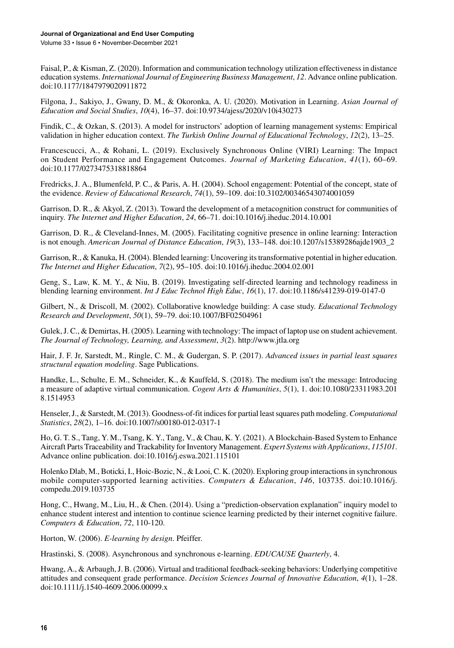Faisal, P., & Kisman, Z. (2020). Information and communication technology utilization effectiveness in distance education systems. *International Journal of Engineering Business Management*, *12*. Advance online publication. doi[:10.1177/1847979020911872](http://dx.doi.org/10.1177/1847979020911872)

Filgona, J., Sakiyo, J., Gwany, D. M., & Okoronka, A. U. (2020). Motivation in Learning. *Asian Journal of Education and Social Studies*, *10*(4), 16–37. doi[:10.9734/ajess/2020/v10i430273](http://dx.doi.org/10.9734/ajess/2020/v10i430273)

Findik, C., & Ozkan, S. (2013). A model for instructors' adoption of learning management systems: Empirical validation in higher education context. *The Turkish Online Journal of Educational Technology*, *12*(2), 13–25.

Francescucci, A., & Rohani, L. (2019). Exclusively Synchronous Online (VIRI) Learning: The Impact on Student Performance and Engagement Outcomes. *Journal of Marketing Education*, *41*(1), 60–69. doi[:10.1177/0273475318818864](http://dx.doi.org/10.1177/0273475318818864)

Fredricks, J. A., Blumenfeld, P. C., & Paris, A. H. (2004). School engagement: Potential of the concept, state of the evidence. *Review of Educational Research*, *74*(1), 59–109. doi[:10.3102/00346543074001059](http://dx.doi.org/10.3102/00346543074001059)

Garrison, D. R., & Akyol, Z. (2013). Toward the development of a metacognition construct for communities of inquiry. *The Internet and Higher Education*, *24*, 66–71. doi:[10.1016/j.iheduc.2014.10.001](http://dx.doi.org/10.1016/j.iheduc.2014.10.001)

Garrison, D. R., & Cleveland-Innes, M. (2005). Facilitating cognitive presence in online learning: Interaction is not enough. *American Journal of Distance Education*, *19*(3), 133–148. doi:[10.1207/s15389286ajde1903\\_2](http://dx.doi.org/10.1207/s15389286ajde1903_2)

Garrison, R., & Kanuka, H. (2004). Blended learning: Uncovering its transformative potential in higher education. *The Internet and Higher Education*, *7*(2), 95–105. doi[:10.1016/j.iheduc.2004.02.001](http://dx.doi.org/10.1016/j.iheduc.2004.02.001)

Geng, S., Law, K. M. Y., & Niu, B. (2019). Investigating self-directed learning and technology readiness in blending learning environment. *Int J Educ Technol High Educ*, *16*(1), 17. doi:[10.1186/s41239-019-0147-0](http://dx.doi.org/10.1186/s41239-019-0147-0)

Gilbert, N., & Driscoll, M. (2002). Collaborative knowledge building: A case study. *Educational Technology Research and Development*, *50*(1), 59–79. doi:[10.1007/BF02504961](http://dx.doi.org/10.1007/BF02504961)

Gulek, J. C., & Demirtas, H. (2005). Learning with technology: The impact of laptop use on student achievement. *The Journal of Technology, Learning, and Assessment*, *3*(2).<http://www.jtla.org>

Hair, J. F. Jr, Sarstedt, M., Ringle, C. M., & Gudergan, S. P. (2017). *Advanced issues in partial least squares structural equation modeling*. Sage Publications.

Handke, L., Schulte, E. M., Schneider, K., & Kauffeld, S. (2018). The medium isn't the message: Introducing a measure of adaptive virtual communication. *Cogent Arts & Humanities*, *5*(1), 1. doi[:10.1080/23311983.201](http://dx.doi.org/10.1080/23311983.2018.1514953) [8.1514953](http://dx.doi.org/10.1080/23311983.2018.1514953)

Henseler, J., & Sarstedt, M. (2013). Goodness-of-fit indices for partial least squares path modeling. *Computational Statistics*, *28*(2), 1–16. doi[:10.1007/s00180-012-0317-1](http://dx.doi.org/10.1007/s00180-012-0317-1)

Ho, G. T. S., Tang, Y. M., Tsang, K. Y., Tang, V., & Chau, K. Y. (2021). A Blockchain-Based System to Enhance Aircraft Parts Traceability and Trackability for Inventory Management. *Expert Systems with Applications*, *115101*. Advance online publication. doi:[10.1016/j.eswa.2021.115101](http://dx.doi.org/10.1016/j.eswa.2021.115101)

Holenko Dlab, M., Boticki, I., Hoic-Bozic, N., & Looi, C. K. (2020). Exploring group interactions in synchronous mobile computer-supported learning activities. *Computers & Education*, *146*, 103735. doi[:10.1016/j.](http://dx.doi.org/10.1016/j.compedu.2019.103735) [compedu.2019.103735](http://dx.doi.org/10.1016/j.compedu.2019.103735)

Hong, C., Hwang, M., Liu, H., & Chen. (2014). Using a "prediction-observation explanation" inquiry model to enhance student interest and intention to continue science learning predicted by their internet cognitive failure. *Computers & Education*, *72*, 110-120.

Horton, W. (2006). *E-learning by design*. Pfeiffer.

Hrastinski, S. (2008). Asynchronous and synchronous e-learning. *EDUCAUSE Quarterly*, 4.

Hwang, A., & Arbaugh, J. B. (2006). Virtual and traditional feedback-seeking behaviors: Underlying competitive attitudes and consequent grade performance. *Decision Sciences Journal of Innovative Education*, *4*(1), 1–28. doi[:10.1111/j.1540-4609.2006.00099.x](http://dx.doi.org/10.1111/j.1540-4609.2006.00099.x)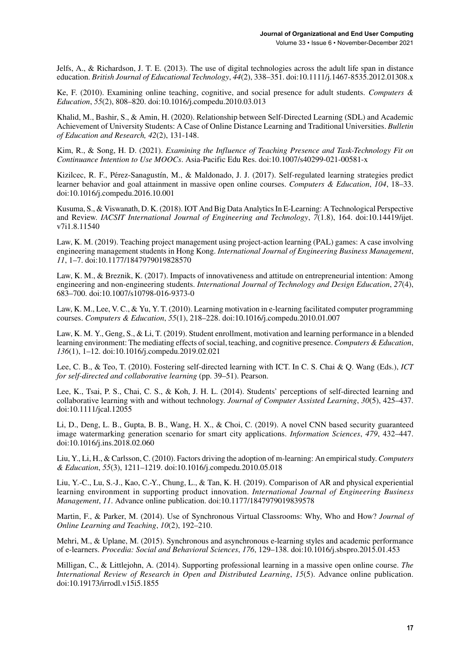Jelfs, A., & Richardson, J. T. E. (2013). The use of digital technologies across the adult life span in distance education. *British Journal of Educational Technology*, *44*(2), 338–351. doi:[10.1111/j.1467-8535.2012.01308.x](http://dx.doi.org/10.1111/j.1467-8535.2012.01308.x)

Ke, F. (2010). Examining online teaching, cognitive, and social presence for adult students. *Computers & Education*, *55*(2), 808–820. doi:[10.1016/j.compedu.2010.03.013](http://dx.doi.org/10.1016/j.compedu.2010.03.013)

Khalid, M., Bashir, S., & Amin, H. (2020). Relationship between Self-Directed Learning (SDL) and Academic Achievement of University Students: A Case of Online Distance Learning and Traditional Universities. *Bulletin of Education and Research, 42*(2), 131-148.

Kim, R., & Song, H. D. (2021). *Examining the Influence of Teaching Presence and Task-Technology Fit on Continuance Intention to Use MOOCs*. Asia-Pacific Edu Res. doi[:10.1007/s40299-021-00581-x](http://dx.doi.org/10.1007/s40299-021-00581-x)

Kizilcec, R. F., Pérez-Sanagustín, M., & Maldonado, J. J. (2017). Self-regulated learning strategies predict learner behavior and goal attainment in massive open online courses. *Computers & Education*, *104*, 18–33. doi[:10.1016/j.compedu.2016.10.001](http://dx.doi.org/10.1016/j.compedu.2016.10.001)

Kusuma, S., & Viswanath, D. K. (2018). IOT And Big Data Analytics In E-Learning: A Technological Perspective and Review. *IACSIT International Journal of Engineering and Technology*, *7*(1.8), 164. doi:[10.14419/ijet.](http://dx.doi.org/10.14419/ijet.v7i1.8.11540) [v7i1.8.11540](http://dx.doi.org/10.14419/ijet.v7i1.8.11540)

Law, K. M. (2019). Teaching project management using project-action learning (PAL) games: A case involving engineering management students in Hong Kong. *International Journal of Engineering Business Management*, *11*, 1–7. doi:[10.1177/1847979019828570](http://dx.doi.org/10.1177/1847979019828570)

Law, K. M., & Breznik, K. (2017). Impacts of innovativeness and attitude on entrepreneurial intention: Among engineering and non-engineering students. *International Journal of Technology and Design Education*, *27*(4), 683–700. doi[:10.1007/s10798-016-9373-0](http://dx.doi.org/10.1007/s10798-016-9373-0)

Law, K. M., Lee, V. C., & Yu, Y. T. (2010). Learning motivation in e-learning facilitated computer programming courses. *Computers & Education*, *55*(1), 218–228. doi:[10.1016/j.compedu.2010.01.007](http://dx.doi.org/10.1016/j.compedu.2010.01.007)

Law, K. M. Y., Geng, S., & Li, T. (2019). Student enrollment, motivation and learning performance in a blended learning environment: The mediating effects of social, teaching, and cognitive presence. *Computers & Education*, *136*(1), 1–12. doi[:10.1016/j.compedu.2019.02.021](http://dx.doi.org/10.1016/j.compedu.2019.02.021)

Lee, C. B., & Teo, T. (2010). Fostering self-directed learning with ICT. In C. S. Chai & Q. Wang (Eds.), *ICT for self-directed and collaborative learning* (pp. 39–51). Pearson.

Lee, K., Tsai, P. S., Chai, C. S., & Koh, J. H. L. (2014). Students' perceptions of self‐directed learning and collaborative learning with and without technology. *Journal of Computer Assisted Learning*, *30*(5), 425–437. doi[:10.1111/jcal.12055](http://dx.doi.org/10.1111/jcal.12055)

Li, D., Deng, L. B., Gupta, B. B., Wang, H. X., & Choi, C. (2019). A novel CNN based security guaranteed image watermarking generation scenario for smart city applications. *Information Sciences*, *479*, 432–447. doi[:10.1016/j.ins.2018.02.060](http://dx.doi.org/10.1016/j.ins.2018.02.060)

Liu, Y., Li, H., & Carlsson, C. (2010). Factors driving the adoption of m-learning: An empirical study. *Computers & Education*, *55*(3), 1211–1219. doi:[10.1016/j.compedu.2010.05.018](http://dx.doi.org/10.1016/j.compedu.2010.05.018)

Liu, Y.-C., Lu, S.-J., Kao, C.-Y., Chung, L., & Tan, K. H. (2019). Comparison of AR and physical experiential learning environment in supporting product innovation. *International Journal of Engineering Business Management*, *11*. Advance online publication. doi[:10.1177/1847979019839578](http://dx.doi.org/10.1177/1847979019839578)

Martin, F., & Parker, M. (2014). Use of Synchronous Virtual Classrooms: Why, Who and How? *Journal of Online Learning and Teaching*, *10*(2), 192–210.

Mehri, M., & Uplane, M. (2015). Synchronous and asynchronous e-learning styles and academic performance of e-learners. *Procedia: Social and Behavioral Sciences*, *176*, 129–138. doi:[10.1016/j.sbspro.2015.01.453](http://dx.doi.org/10.1016/j.sbspro.2015.01.453)

Milligan, C., & Littlejohn, A. (2014). Supporting professional learning in a massive open online course. *The International Review of Research in Open and Distributed Learning*, *15*(5). Advance online publication. doi[:10.19173/irrodl.v15i5.1855](http://dx.doi.org/10.19173/irrodl.v15i5.1855)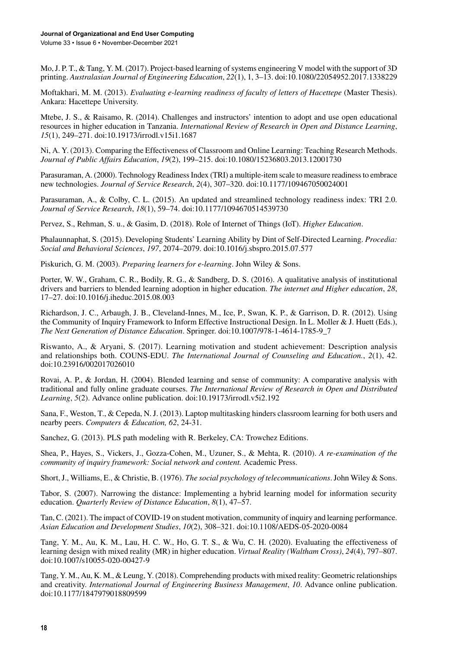Mo, J. P. T., & Tang, Y. M. (2017). Project-based learning of systems engineering V model with the support of 3D printing. *Australasian Journal of Engineering Education*, *22*(1), 1, 3–13. doi[:10.1080/22054952.2017.1338229](http://dx.doi.org/10.1080/22054952.2017.1338229)

Moftakhari, M. M. (2013). *Evaluating e-learning readiness of faculty of letters of Hacettepe* (Master Thesis). Ankara: Hacettepe University.

Mtebe, J. S., & Raisamo, R. (2014). Challenges and instructors' intention to adopt and use open educational resources in higher education in Tanzania. *International Review of Research in Open and Distance Learning*, *15*(1), 249–271. doi:[10.19173/irrodl.v15i1.1687](http://dx.doi.org/10.19173/irrodl.v15i1.1687)

Ni, A. Y. (2013). Comparing the Effectiveness of Classroom and Online Learning: Teaching Research Methods. *Journal of Public Affairs Education*, *19*(2), 199–215. doi:[10.1080/15236803.2013.12001730](http://dx.doi.org/10.1080/15236803.2013.12001730)

Parasuraman, A. (2000). Technology Readiness Index (TRI) a multiple-item scale to measure readiness to embrace new technologies. *Journal of Service Research*, *2*(4), 307–320. doi[:10.1177/109467050024001](http://dx.doi.org/10.1177/109467050024001)

Parasuraman, A., & Colby, C. L. (2015). An updated and streamlined technology readiness index: TRI 2.0. *Journal of Service Research*, *18*(1), 59–74. doi[:10.1177/1094670514539730](http://dx.doi.org/10.1177/1094670514539730)

Pervez, S., Rehman, S. u., & Gasim, D. (2018). Role of Internet of Things (IoT). *Higher Education*.

Phalaunnaphat, S. (2015). Developing Students' Learning Ability by Dint of Self-Directed Learning. *Procedia: Social and Behavioral Sciences*, *197*, 2074–2079. doi[:10.1016/j.sbspro.2015.07.577](http://dx.doi.org/10.1016/j.sbspro.2015.07.577)

Piskurich, G. M. (2003). *Preparing learners for e-learning*. John Wiley & Sons.

Porter, W. W., Graham, C. R., Bodily, R. G., & Sandberg, D. S. (2016). A qualitative analysis of institutional drivers and barriers to blended learning adoption in higher education. *The internet and Higher education*, *28*, 17–27. doi[:10.1016/j.iheduc.2015.08.003](http://dx.doi.org/10.1016/j.iheduc.2015.08.003)

Richardson, J. C., Arbaugh, J. B., Cleveland-Innes, M., Ice, P., Swan, K. P., & Garrison, D. R. (2012). Using the Community of Inquiry Framework to Inform Effective Instructional Design. In L. Moller & J. Huett (Eds.), *The Next Generation of Distance Education*. Springer. doi[:10.1007/978-1-4614-1785-9\\_7](http://dx.doi.org/10.1007/978-1-4614-1785-9_7)

Riswanto, A., & Aryani, S. (2017). Learning motivation and student achievement: Description analysis and relationships both. COUNS-EDU. *The International Journal of Counseling and Education.*, *2*(1), 42. doi[:10.23916/002017026010](http://dx.doi.org/10.23916/002017026010)

Rovai, A. P., & Jordan, H. (2004). Blended learning and sense of community: A comparative analysis with traditional and fully online graduate courses. *The International Review of Research in Open and Distributed Learning*, *5*(2). Advance online publication. doi:[10.19173/irrodl.v5i2.192](http://dx.doi.org/10.19173/irrodl.v5i2.192)

Sana, F., Weston, T., & Cepeda, N. J. (2013). Laptop multitasking hinders classroom learning for both users and nearby peers. *Computers & Education, 62*, 24-31.

Sanchez, G. (2013). PLS path modeling with R. Berkeley, CA: Trowchez Editions.

Shea, P., Hayes, S., Vickers, J., Gozza-Cohen, M., Uzuner, S., & Mehta, R. (2010). *A re-examination of the community of inquiry framework: Social network and content.* Academic Press.

Short, J., Williams, E., & Christie, B. (1976). *The social psychology of telecommunications*. John Wiley & Sons.

Tabor, S. (2007). Narrowing the distance: Implementing a hybrid learning model for information security education. *Quarterly Review of Distance Education*, *8*(1), 47–57.

Tan, C. (2021). The impact of COVID-19 on student motivation, community of inquiry and learning performance. *Asian Education and Development Studies*, *10*(2), 308–321. doi:[10.1108/AEDS-05-2020-0084](http://dx.doi.org/10.1108/AEDS-05-2020-0084)

Tang, Y. M., Au, K. M., Lau, H. C. W., Ho, G. T. S., & Wu, C. H. (2020). Evaluating the effectiveness of learning design with mixed reality (MR) in higher education. *Virtual Reality (Waltham Cross)*, *24*(4), 797–807. doi[:10.1007/s10055-020-00427-9](http://dx.doi.org/10.1007/s10055-020-00427-9)

Tang, Y. M., Au, K. M., & Leung, Y. (2018). Comprehending products with mixed reality: Geometric relationships and creativity. *International Journal of Engineering Business Management*, *10*. Advance online publication. doi[:10.1177/1847979018809599](http://dx.doi.org/10.1177/1847979018809599)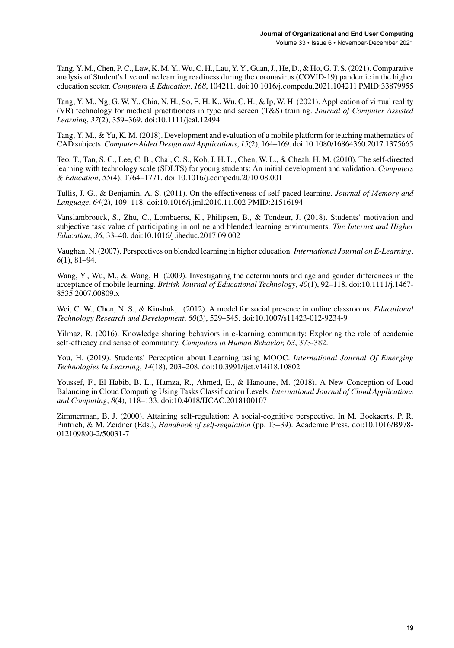Tang, Y. M., Chen, P. C., Law, K. M. Y., Wu, C. H., Lau, Y. Y., Guan, J., He, D., & Ho, G. T. S. (2021). Comparative analysis of Student's live online learning readiness during the coronavirus (COVID-19) pandemic in the higher education sector. *Computers & Education*, *168*, 104211. doi[:10.1016/j.compedu.2021.104211](http://dx.doi.org/10.1016/j.compedu.2021.104211) PMID[:33879955](http://www.ncbi.nlm.nih.gov/pubmed/33879955)

Tang, Y. M., Ng, G. W. Y., Chia, N. H., So, E. H. K., Wu, C. H., & Ip, W. H. (2021). Application of virtual reality (VR) technology for medical practitioners in type and screen (T&S) training. *Journal of Computer Assisted Learning*, *37*(2), 359–369. doi:[10.1111/jcal.12494](http://dx.doi.org/10.1111/jcal.12494)

Tang, Y. M., & Yu, K. M. (2018). Development and evaluation of a mobile platform for teaching mathematics of CAD subjects. *Computer-Aided Design and Applications*, *15*(2), 164–169. doi:[10.1080/16864360.2017.1375665](http://dx.doi.org/10.1080/16864360.2017.1375665)

Teo, T., Tan, S. C., Lee, C. B., Chai, C. S., Koh, J. H. L., Chen, W. L., & Cheah, H. M. (2010). The self-directed learning with technology scale (SDLTS) for young students: An initial development and validation. *Computers & Education*, *55*(4), 1764–1771. doi:[10.1016/j.compedu.2010.08.001](http://dx.doi.org/10.1016/j.compedu.2010.08.001)

Tullis, J. G., & Benjamin, A. S. (2011). On the effectiveness of self-paced learning. *Journal of Memory and Language*, *64*(2), 109–118. doi[:10.1016/j.jml.2010.11.002](http://dx.doi.org/10.1016/j.jml.2010.11.002) PMID[:21516194](http://www.ncbi.nlm.nih.gov/pubmed/21516194)

Vanslambrouck, S., Zhu, C., Lombaerts, K., Philipsen, B., & Tondeur, J. (2018). Students' motivation and subjective task value of participating in online and blended learning environments. *The Internet and Higher Education*, *36*, 33–40. doi[:10.1016/j.iheduc.2017.09.002](http://dx.doi.org/10.1016/j.iheduc.2017.09.002)

Vaughan, N. (2007). Perspectives on blended learning in higher education. *International Journal on E-Learning*, *6*(1), 81–94.

Wang, Y., Wu, M., & Wang, H. (2009). Investigating the determinants and age and gender differences in the acceptance of mobile learning. *British Journal of Educational Technology*, *40*(1), 92–118. doi[:10.1111/j.1467-](http://dx.doi.org/10.1111/j.1467-8535.2007.00809.x) [8535.2007.00809.x](http://dx.doi.org/10.1111/j.1467-8535.2007.00809.x)

Wei, C. W., Chen, N. S., & Kinshuk, . (2012). A model for social presence in online classrooms. *Educational Technology Research and Development*, *60*(3), 529–545. doi[:10.1007/s11423-012-9234-9](http://dx.doi.org/10.1007/s11423-012-9234-9)

Yilmaz, R. (2016). Knowledge sharing behaviors in e-learning community: Exploring the role of academic self-efficacy and sense of community. *Computers in Human Behavior, 63*, 373-382.

You, H. (2019). Students' Perception about Learning using MOOC. *International Journal Of Emerging Technologies In Learning*, *14*(18), 203–208. doi[:10.3991/ijet.v14i18.10802](http://dx.doi.org/10.3991/ijet.v14i18.10802)

Youssef, F., El Habib, B. L., Hamza, R., Ahmed, E., & Hanoune, M. (2018). A New Conception of Load Balancing in Cloud Computing Using Tasks Classification Levels. *International Journal of Cloud Applications and Computing*, *8*(4), 118–133. doi:[10.4018/IJCAC.2018100107](http://dx.doi.org/10.4018/IJCAC.2018100107)

Zimmerman, B. J. (2000). Attaining self-regulation: A social-cognitive perspective. In M. Boekaerts, P. R. Pintrich, & M. Zeidner (Eds.), *Handbook of self-regulation* (pp. 13–39). Academic Press. doi:[10.1016/B978-](http://dx.doi.org/10.1016/B978-012109890-2/50031-7) [012109890-2/50031-7](http://dx.doi.org/10.1016/B978-012109890-2/50031-7)